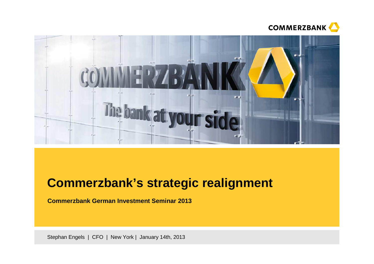



# **Commerzbank's strategic realignment**

**Commerzbank German Investment Seminar 2013**

Stephan Engels | CFO | New York | January 14th, 2013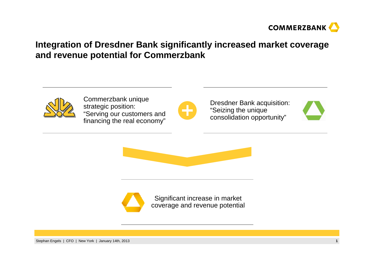

## **Integration of Dresdner Bank significantly increased market coverage and revenue potential for Commerzbank**



Commerzbank unique strategic position: "Serving our customers and financing the real economy"



Dresdner Bank acquisition:"Seizing the unique consolidation opportunity"







Significant increase in market coverage and revenue potential

Stephan Engels | CFO | New York | January 14th, 2013**<sup>1</sup>**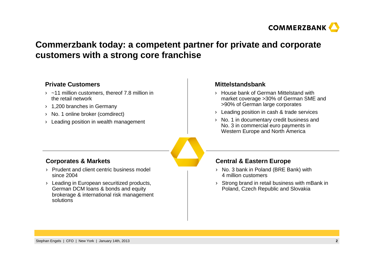

## **Commerzbank today: a competent partner for private and corporatecustomers with a strong core franchise**

#### **Private Customers**

- $\rightarrow$  ~11 million customers, thereof 7.8 million in the retail network
- › 1,200 branches in Germany
- › No. 1 online broker (comdirect)
- › Leading position in wealth management

#### **Mittelstandsbank**

- › House bank of German Mittelstand with market coverage >30% of German SME and >90% of German large corporates
- › Leading position in cash & trade services
- › No. 1 in documentary credit business and No. 3 in commercial euro payments in Western Europe and North America

#### **Corporates & Markets**

- › Prudent and client centric business model since 2004
- › Leading in European securitized products, German DCM loans & bonds and equity brokerage & international risk management solutions

#### **Central & Eastern Europe**

- $\angle$  No. 3 bank in Poland (BRE Bank) with 4 million customers
- › Strong brand in retail business with mBank in Poland, Czech Republic and Slovakia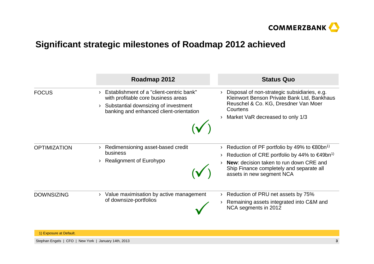

### **Significant strategic milestones of Roadmap 2012 achieved**

|                     | Roadmap 2012                                                                                                                                                       | <b>Status Quo</b>                                                                                                                                                                                                                                           |
|---------------------|--------------------------------------------------------------------------------------------------------------------------------------------------------------------|-------------------------------------------------------------------------------------------------------------------------------------------------------------------------------------------------------------------------------------------------------------|
| <b>FOCUS</b>        | Establishment of a "client-centric bank"<br>with profitable core business areas<br>Substantial downsizing of investment<br>banking and enhanced client-orientation | Disposal of non-strategic subsidiaries, e.g.<br>Kleinwort Benson Private Bank Ltd, Bankhaus<br>Reuschel & Co. KG, Dresdner Van Moer<br>Courtens<br>Market VaR decreased to only 1/3                                                                         |
| <b>OPTIMIZATION</b> | Redimensioning asset-based credit<br>business<br>Realignment of Eurohypo                                                                                           | Reduction of PF portfolio by 49% to $\epsilon$ 80bn <sup>1)</sup><br>Reduction of CRE portfolio by 44% to $\epsilon$ 49bn <sup>1)</sup><br>New: decision taken to run down CRE and<br>Ship Finance completely and separate all<br>assets in new segment NCA |
| <b>DOWNSIZING</b>   | Value maximisation by active management<br>of downsize-portfolios                                                                                                  | Reduction of PRU net assets by 75%<br>Remaining assets integrated into C&M and<br>NCA segments in 2012                                                                                                                                                      |

1) Exposure at Default.

Stephan Engels | CFO | New York | January 14th, 2013**<sup>3</sup>**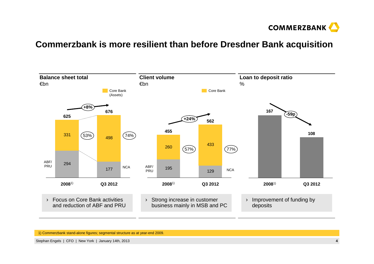

#### **Commerzbank is more resilient than before Dresdner Bank acquisition**

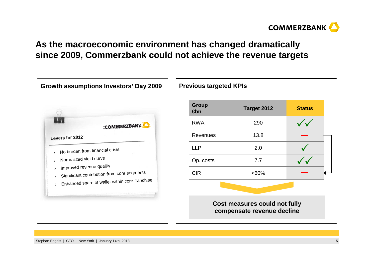

## **As the macroeconomic environment has changed dramatically since 2009, Commerzbank could not achieve the revenue targets**

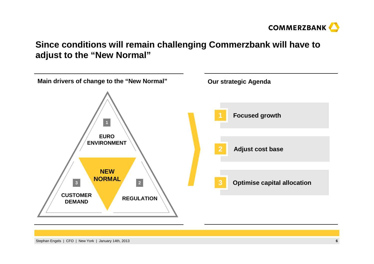

### **Since conditions will remain challenging Commerzbank will have to adjust to the "New Normal"**

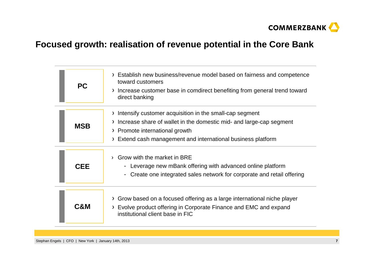

### **Focused growth: realisation of revenue potential in the Core Bank**

| <b>PC</b>  | Establish new business/revenue model based on fairness and competence<br>toward customers<br>Increase customer base in comdirect benefiting from general trend toward<br>direct banking                                                            |
|------------|----------------------------------------------------------------------------------------------------------------------------------------------------------------------------------------------------------------------------------------------------|
| <b>MSB</b> | Intensify customer acquisition in the small-cap segment<br>$\sum_{i=1}^{n}$<br>Increase share of wallet in the domestic mid- and large-cap segment<br>> Promote international growth<br>Extend cash management and international business platform |
| <b>CEE</b> | Grow with the market in BRE<br>- Leverage new mBank offering with advanced online platform<br>- Create one integrated sales network for corporate and retail offering                                                                              |
| C&M        | Grow based on a focused offering as a large international niche player<br>Evolve product offering in Corporate Finance and EMC and expand<br>institutional client base in FIC                                                                      |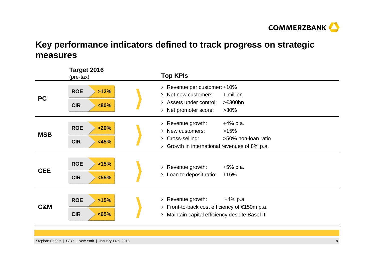

## **Key performance indicators defined to track progress on strategic measures**

|                | Target 2016<br>(pre-tax)                    | <b>Top KPIs</b>                                                                                                                                                                                                               |
|----------------|---------------------------------------------|-------------------------------------------------------------------------------------------------------------------------------------------------------------------------------------------------------------------------------|
| <b>PC</b>      | <b>ROE</b><br>>12%<br><b>CIR</b><br>$&80\%$ | Revenue per customer: +10%<br>$\mathcal{F}$<br>Net new customers:<br>1 million<br>$\mathcal{F}$<br>$> \in 300$ bn<br>Assets under control:<br>$\sum$<br>$>30\%$<br>Net promoter score:<br>Σ                                   |
| <b>MSB</b>     | <b>ROE</b><br>>20%<br><b>CIR</b><br>< 45%   | Revenue growth:<br>$+4\%$ p.a.<br>$\sum_{i=1}^{n}$<br>New customers:<br>>15%<br>$\mathcal{F}$<br>Cross-selling:<br>>50% non-loan ratio<br>$\sum_{i=1}^{n}$<br>Growth in international revenues of 8% p.a.<br>$\sum_{i=1}^{n}$ |
| <b>CEE</b>     | <b>ROE</b><br>>15%<br><b>CIR</b><br>< 55%   | Revenue growth:<br>$+5%$ p.a.<br>$\sum_{i=1}^{n}$<br>Loan to deposit ratio:<br>115%<br>$\sum$                                                                                                                                 |
| <b>C&amp;M</b> | <b>ROE</b><br>>15%<br><b>CIR</b><br><65%    | Revenue growth:<br>$+4\%$ p.a.<br>Σ<br>Front-to-back cost efficiency of $\epsilon$ 150m p.a.<br>$\sum_{i=1}^{n}$<br>Maintain capital efficiency despite Basel III<br>$\rightarrow$                                            |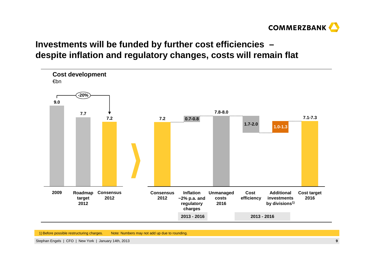

## **Investments will be funded by further cost efficiencies –despite inflation and regulatory changes, costs will remain flat**



1) Before possible restructuring charges. Note: Numbers may not add up due to rounding.

Stephan Engels | CFO | New York | January 14th, 2013**<sup>9</sup>**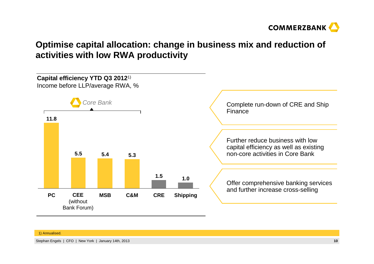

## **Optimise capital allocation: change in business mix and reduction of activities with low RWA productivity**



#### 1) Annualised.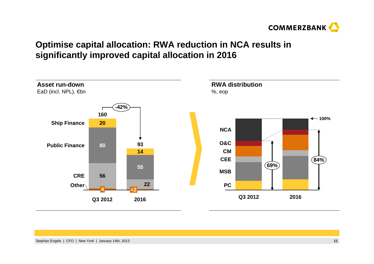

## **Optimise capital allocation: RWA reduction in NCA results in significantly improved capital allocation in 2016**

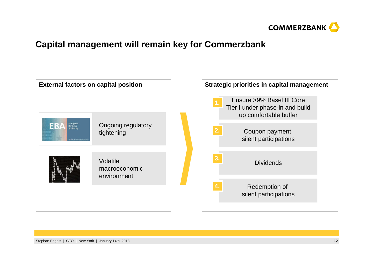

#### **Capital management will remain key for Commerzbank**

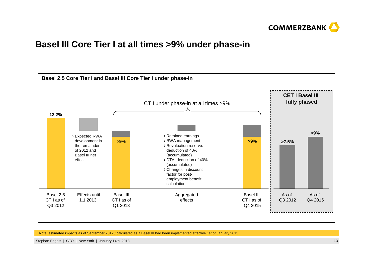

#### **Basel III Core Tier I at all times >9% under phase-in**



Note: estimated impacts as of September 2012 / calculated as if Basel III had been implemented effective 1st of January 2013

Stephan Engels | CFO | New York | January 14th, 2013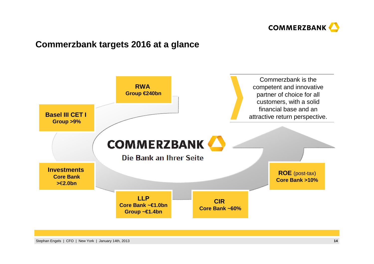

#### **Commerzbank targets 2016 at a glance**

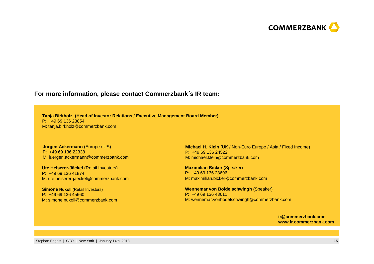

#### **For more information, please contact Commerzbank**´**<sup>s</sup> IR team:**

**Tanja Birkholz (Head of Investor Relations / Executive Management Board Member)**P: +49 69 136 23854M: tanja.birkholz@commerzbank.com

#### **Jürgen Ackermann** (Europe / US)P: +49 69 136 22338M: juergen.ackermann@commerzbank.com

**Ute Heiserer-Jäckel** (Retail Investors)P: +49 69 136 41874M: ute.heiserer-jaeckel@commerzbank.com

**Simone Nuxoll (Retail Investors)** P: +49 69 136 45660M: simone.nuxoll@commerzbank.com **Michael H. Klein** (UK / Non-Euro Europe / Asia / Fixed Income)P: +49 69 136 24522M: michael.klein@commerzbank.com

**Maximilian Bicker** (Speaker)P: +49 69 136 28696M: maximilian.bicker@commerzbank.com

**Wennemar von Boldelschwingh** (Speaker) P: +49 69 136 43611M: wennemar.vonbodelschwingh@commerzbank.com

> **ir@commerzbank.comwww.ir.commerzbank.com**